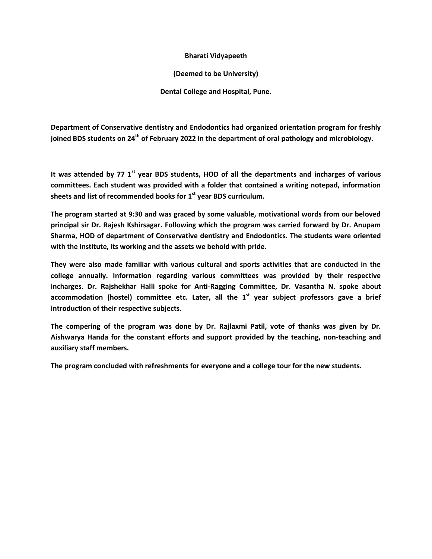## **Bharati Vidyapeeth**

## **(Deemed to be University)**

**Dental College and Hospital, Pune.**

**Department of Conservative dentistry and Endodontics had organized orientation program for freshly joined BDS students on 24th of February 2022 in the department of oral pathology and microbiology.**

**It was attended by 77 1st year BDS students, HOD of all the departments and incharges of various committees. Each student was provided with a folder that contained a writing notepad, information sheets and list of recommended books for 1st year BDS curriculum.**

**The program started at 9:30 and was graced by some valuable, motivational words from our beloved principal sir Dr. Rajesh Kshirsagar. Following which the program was carried forward by Dr. Anupam Sharma, HOD of department of Conservative dentistry and Endodontics. The students were oriented with the institute, its working and the assets we behold with pride.** 

**They were also made familiar with various cultural and sports activities that are conducted in the college annually. Information regarding various committees was provided by their respective incharges. Dr. Rajshekhar Halli spoke for Anti-Ragging Committee, Dr. Vasantha N. spoke about accommodation (hostel) committee etc. Later, all the 1st year subject professors gave a brief introduction of their respective subjects.**

**The compering of the program was done by Dr. Rajlaxmi Patil, vote of thanks was given by Dr. Aishwarya Handa for the constant efforts and support provided by the teaching, non-teaching and auxiliary staff members.**

**The program concluded with refreshments for everyone and a college tour for the new students.**